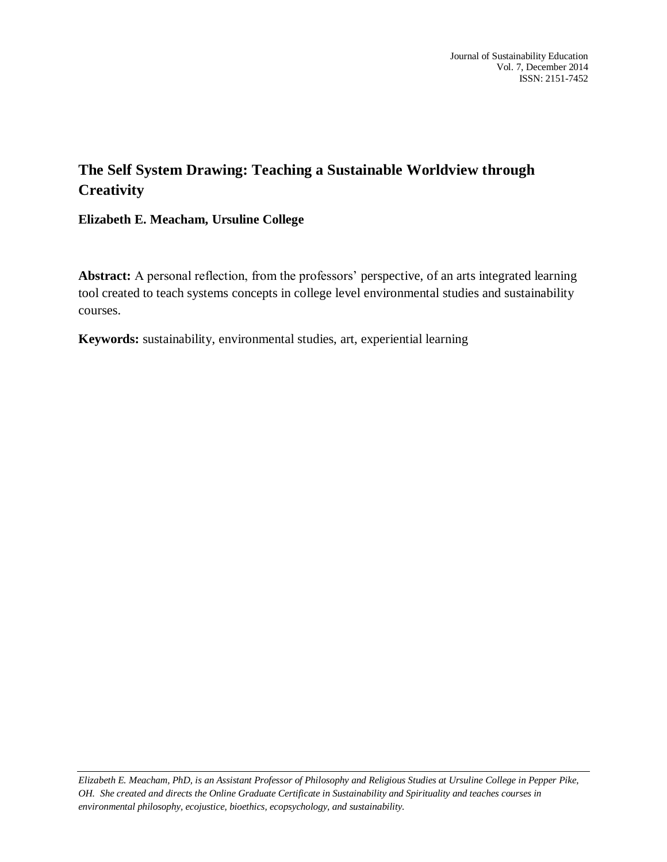## **The Self System Drawing: Teaching a Sustainable Worldview through Creativity**

**Elizabeth E. Meacham, Ursuline College**

**Abstract:** A personal reflection, from the professors' perspective, of an arts integrated learning tool created to teach systems concepts in college level environmental studies and sustainability courses.

**Keywords:** sustainability, environmental studies, art, experiential learning

*Elizabeth E. Meacham, PhD, is an Assistant Professor of Philosophy and Religious Studies at Ursuline College in Pepper Pike, OH. She created and directs the Online Graduate Certificate in Sustainability and Spirituality and teaches courses in environmental philosophy, ecojustice, bioethics, ecopsychology, and sustainability.*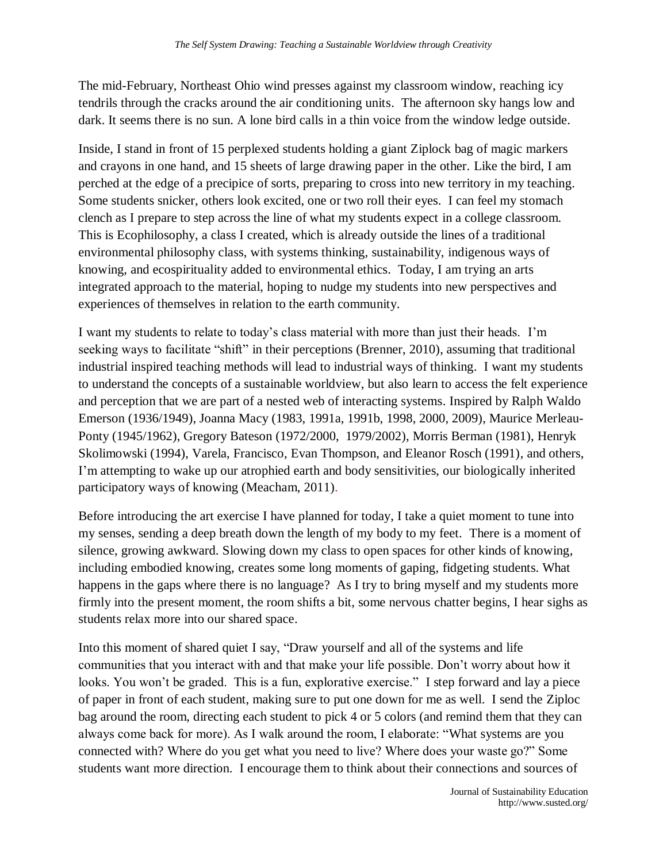The mid-February, Northeast Ohio wind presses against my classroom window, reaching icy tendrils through the cracks around the air conditioning units. The afternoon sky hangs low and dark. It seems there is no sun. A lone bird calls in a thin voice from the window ledge outside.

Inside, I stand in front of 15 perplexed students holding a giant Ziplock bag of magic markers and crayons in one hand, and 15 sheets of large drawing paper in the other. Like the bird, I am perched at the edge of a precipice of sorts, preparing to cross into new territory in my teaching. Some students snicker, others look excited, one or two roll their eyes. I can feel my stomach clench as I prepare to step across the line of what my students expect in a college classroom. This is Ecophilosophy, a class I created, which is already outside the lines of a traditional environmental philosophy class, with systems thinking, sustainability, indigenous ways of knowing, and ecospirituality added to environmental ethics. Today, I am trying an arts integrated approach to the material, hoping to nudge my students into new perspectives and experiences of themselves in relation to the earth community.

I want my students to relate to today's class material with more than just their heads. I'm seeking ways to facilitate "shift" in their perceptions (Brenner, 2010), assuming that traditional industrial inspired teaching methods will lead to industrial ways of thinking. I want my students to understand the concepts of a sustainable worldview, but also learn to access the felt experience and perception that we are part of a nested web of interacting systems. Inspired by Ralph Waldo Emerson (1936/1949), Joanna Macy (1983, 1991a, 1991b, 1998, 2000, 2009), Maurice Merleau-Ponty (1945/1962), Gregory Bateson (1972/2000, 1979/2002), Morris Berman (1981), Henryk Skolimowski (1994), Varela, Francisco, Evan Thompson, and Eleanor Rosch (1991), and others, I'm attempting to wake up our atrophied earth and body sensitivities, our biologically inherited participatory ways of knowing (Meacham, 2011).

Before introducing the art exercise I have planned for today, I take a quiet moment to tune into my senses, sending a deep breath down the length of my body to my feet. There is a moment of silence, growing awkward. Slowing down my class to open spaces for other kinds of knowing, including embodied knowing, creates some long moments of gaping, fidgeting students. What happens in the gaps where there is no language? As I try to bring myself and my students more firmly into the present moment, the room shifts a bit, some nervous chatter begins, I hear sighs as students relax more into our shared space.

Into this moment of shared quiet I say, "Draw yourself and all of the systems and life communities that you interact with and that make your life possible. Don't worry about how it looks. You won't be graded. This is a fun, explorative exercise." I step forward and lay a piece of paper in front of each student, making sure to put one down for me as well. I send the Ziploc bag around the room, directing each student to pick 4 or 5 colors (and remind them that they can always come back for more). As I walk around the room, I elaborate: "What systems are you connected with? Where do you get what you need to live? Where does your waste go?" Some students want more direction. I encourage them to think about their connections and sources of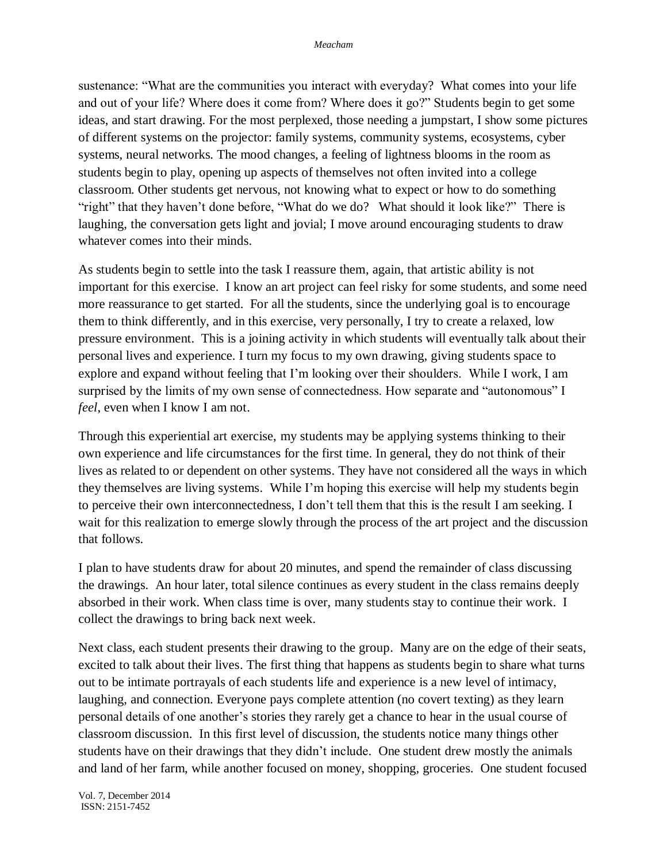sustenance: "What are the communities you interact with everyday? What comes into your life and out of your life? Where does it come from? Where does it go?" Students begin to get some ideas, and start drawing. For the most perplexed, those needing a jumpstart, I show some pictures of different systems on the projector: family systems, community systems, ecosystems, cyber systems, neural networks. The mood changes, a feeling of lightness blooms in the room as students begin to play, opening up aspects of themselves not often invited into a college classroom. Other students get nervous, not knowing what to expect or how to do something "right" that they haven't done before, "What do we do? What should it look like?" There is laughing, the conversation gets light and jovial; I move around encouraging students to draw whatever comes into their minds.

As students begin to settle into the task I reassure them, again, that artistic ability is not important for this exercise. I know an art project can feel risky for some students, and some need more reassurance to get started. For all the students, since the underlying goal is to encourage them to think differently, and in this exercise, very personally, I try to create a relaxed, low pressure environment. This is a joining activity in which students will eventually talk about their personal lives and experience. I turn my focus to my own drawing, giving students space to explore and expand without feeling that I'm looking over their shoulders. While I work, I am surprised by the limits of my own sense of connectedness. How separate and "autonomous" I *feel*, even when I know I am not.

Through this experiential art exercise, my students may be applying systems thinking to their own experience and life circumstances for the first time. In general, they do not think of their lives as related to or dependent on other systems. They have not considered all the ways in which they themselves are living systems. While I'm hoping this exercise will help my students begin to perceive their own interconnectedness, I don't tell them that this is the result I am seeking. I wait for this realization to emerge slowly through the process of the art project and the discussion that follows.

I plan to have students draw for about 20 minutes, and spend the remainder of class discussing the drawings. An hour later, total silence continues as every student in the class remains deeply absorbed in their work. When class time is over, many students stay to continue their work. I collect the drawings to bring back next week.

Next class, each student presents their drawing to the group. Many are on the edge of their seats, excited to talk about their lives. The first thing that happens as students begin to share what turns out to be intimate portrayals of each students life and experience is a new level of intimacy, laughing, and connection. Everyone pays complete attention (no covert texting) as they learn personal details of one another's stories they rarely get a chance to hear in the usual course of classroom discussion. In this first level of discussion, the students notice many things other students have on their drawings that they didn't include. One student drew mostly the animals and land of her farm, while another focused on money, shopping, groceries. One student focused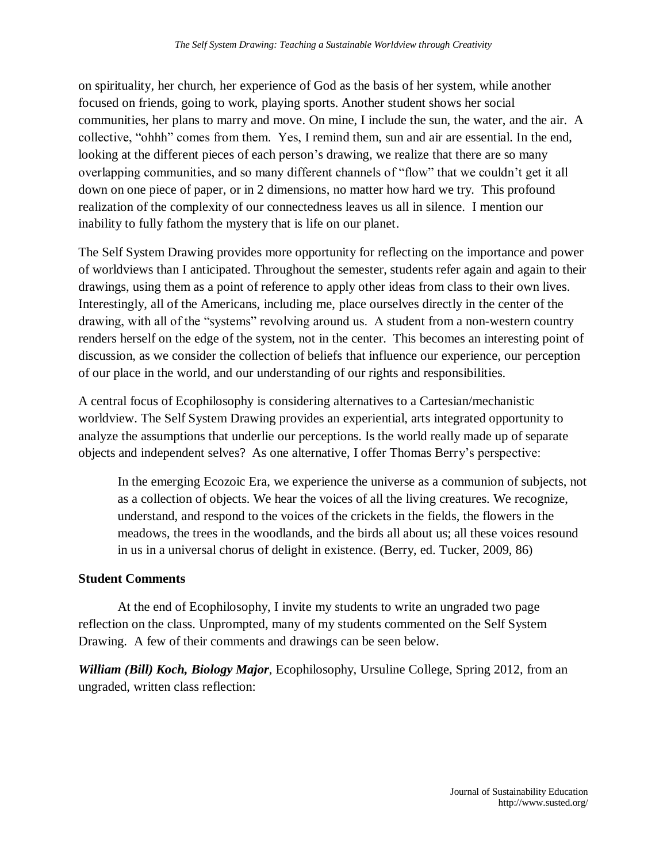on spirituality, her church, her experience of God as the basis of her system, while another focused on friends, going to work, playing sports. Another student shows her social communities, her plans to marry and move. On mine, I include the sun, the water, and the air. A collective, "ohhh" comes from them. Yes, I remind them, sun and air are essential. In the end, looking at the different pieces of each person's drawing, we realize that there are so many overlapping communities, and so many different channels of "flow" that we couldn't get it all down on one piece of paper, or in 2 dimensions, no matter how hard we try. This profound realization of the complexity of our connectedness leaves us all in silence. I mention our inability to fully fathom the mystery that is life on our planet.

The Self System Drawing provides more opportunity for reflecting on the importance and power of worldviews than I anticipated. Throughout the semester, students refer again and again to their drawings, using them as a point of reference to apply other ideas from class to their own lives. Interestingly, all of the Americans, including me, place ourselves directly in the center of the drawing, with all of the "systems" revolving around us. A student from a non-western country renders herself on the edge of the system, not in the center. This becomes an interesting point of discussion, as we consider the collection of beliefs that influence our experience, our perception of our place in the world, and our understanding of our rights and responsibilities.

A central focus of Ecophilosophy is considering alternatives to a Cartesian/mechanistic worldview. The Self System Drawing provides an experiential, arts integrated opportunity to analyze the assumptions that underlie our perceptions. Is the world really made up of separate objects and independent selves? As one alternative, I offer Thomas Berry's perspective:

In the emerging Ecozoic Era, we experience the universe as a communion of subjects, not as a collection of objects. We hear the voices of all the living creatures. We recognize, understand, and respond to the voices of the crickets in the fields, the flowers in the meadows, the trees in the woodlands, and the birds all about us; all these voices resound in us in a universal chorus of delight in existence. (Berry, ed. Tucker, 2009, 86)

## **Student Comments**

At the end of Ecophilosophy, I invite my students to write an ungraded two page reflection on the class. Unprompted, many of my students commented on the Self System Drawing. A few of their comments and drawings can be seen below.

*William (Bill) Koch, Biology Major*, Ecophilosophy, Ursuline College, Spring 2012, from an ungraded, written class reflection: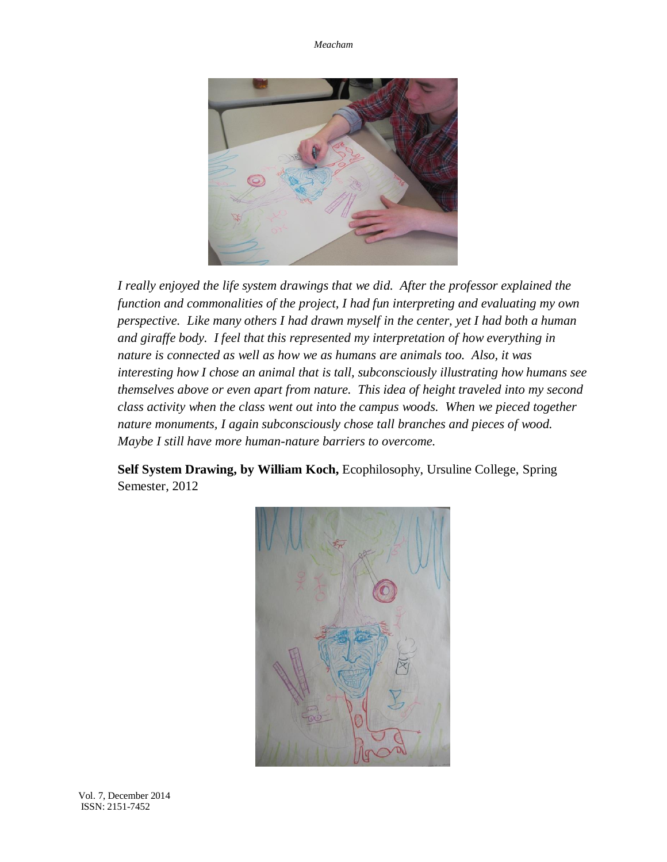*Meacham*



*I really enjoyed the life system drawings that we did. After the professor explained the function and commonalities of the project, I had fun interpreting and evaluating my own perspective. Like many others I had drawn myself in the center, yet I had both a human and giraffe body. I feel that this represented my interpretation of how everything in nature is connected as well as how we as humans are animals too. Also, it was interesting how I chose an animal that is tall, subconsciously illustrating how humans see themselves above or even apart from nature. This idea of height traveled into my second class activity when the class went out into the campus woods. When we pieced together nature monuments, I again subconsciously chose tall branches and pieces of wood. Maybe I still have more human-nature barriers to overcome.*

**Self System Drawing, by William Koch,** Ecophilosophy, Ursuline College, Spring Semester, 2012

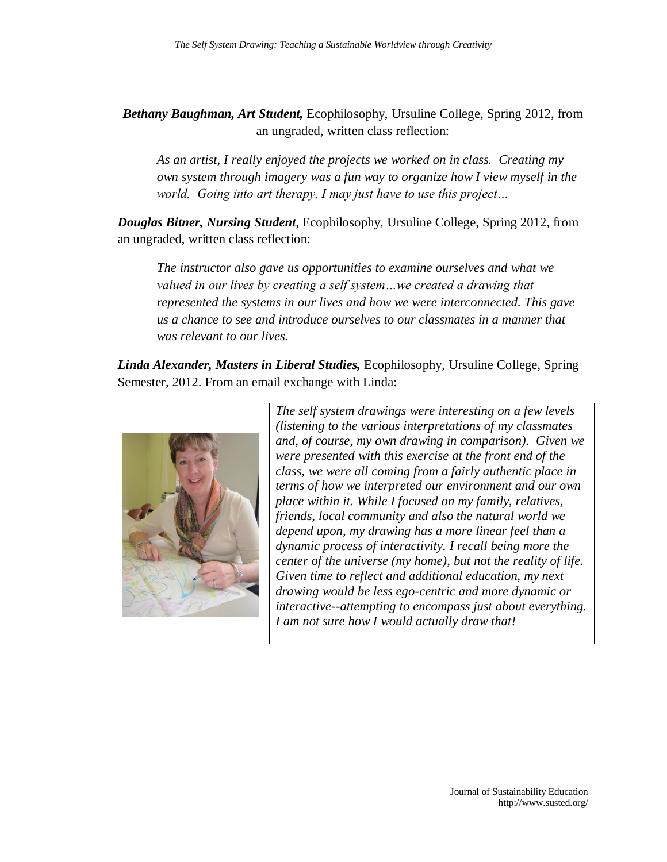*Bethany Baughman, Art Student,* Ecophilosophy, Ursuline College, Spring 2012, from an ungraded, written class reflection:

*As an artist, I really enjoyed the projects we worked on in class. Creating my own system through imagery was a fun way to organize how I view myself in the world. Going into art therapy, I may just have to use this project…* 

*Douglas Bitner, Nursing Student*, Ecophilosophy, Ursuline College, Spring 2012, from an ungraded, written class reflection:

*The instructor also gave us opportunities to examine ourselves and what we valued in our lives by creating a self system…we created a drawing that represented the systems in our lives and how we were interconnected. This gave us a chance to see and introduce ourselves to our classmates in a manner that was relevant to our lives.*

*Linda Alexander, Masters in Liberal Studies,* Ecophilosophy, Ursuline College, Spring Semester, 2012. From an email exchange with Linda:



*The self system drawings were interesting on a few levels (listening to the various interpretations of my classmates and, of course, my own drawing in comparison). Given we were presented with this exercise at the front end of the class, we were all coming from a fairly authentic place in terms of how we interpreted our environment and our own place within it. While I focused on my family, relatives, friends, local community and also the natural world we depend upon, my drawing has a more linear feel than a dynamic process of interactivity. I recall being more the center of the universe (my home), but not the reality of life. Given time to reflect and additional education, my next drawing would be less ego-centric and more dynamic or interactive--attempting to encompass just about everything. I am not sure how I would actually draw that!*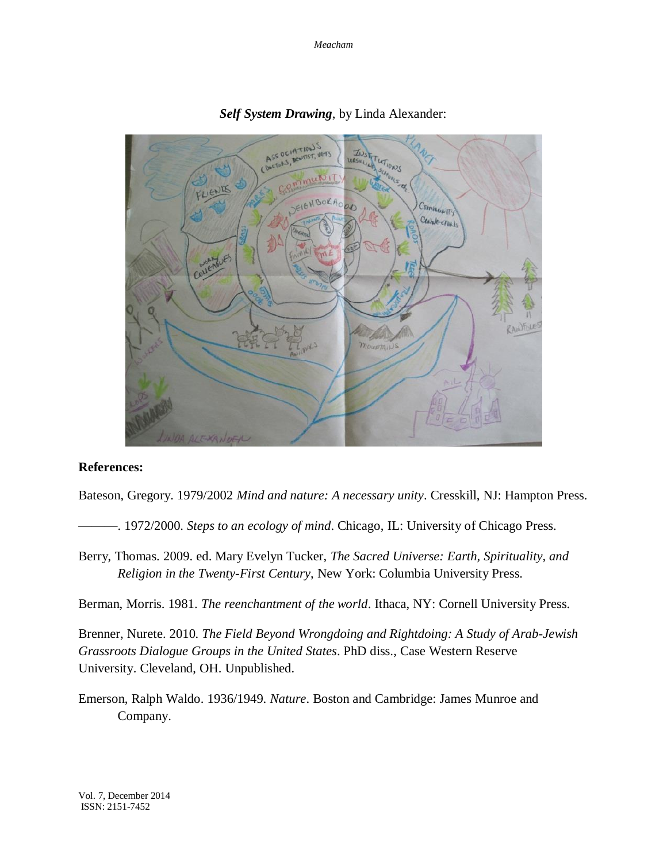*Meacham*



*Self System Drawing*, by Linda Alexander:

## **References:**

Bateson, Gregory. 1979/2002 *Mind and nature: A necessary unity*. Cresskill, NJ: Hampton Press.

———. 1972/2000. *Steps to an ecology of mind*. Chicago, IL: University of Chicago Press.

Berry, Thomas. 2009. ed. Mary Evelyn Tucker, *The Sacred Universe: Earth, Spirituality, and Religion in the Twenty-First Century*, New York: Columbia University Press.

Berman, Morris. 1981. *The reenchantment of the world*. Ithaca, NY: Cornell University Press.

Brenner, Nurete. 2010. *The Field Beyond Wrongdoing and Rightdoing: A Study of Arab-Jewish Grassroots Dialogue Groups in the United States*. PhD diss., Case Western Reserve University. Cleveland, OH. Unpublished.

Emerson, Ralph Waldo. 1936/1949. *Nature*. Boston and Cambridge: James Munroe and Company.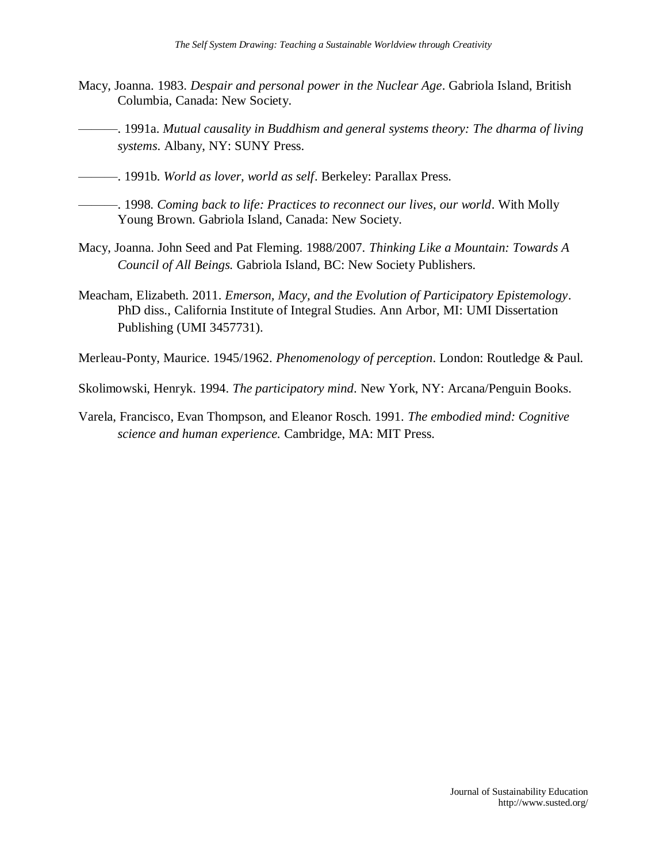- Macy, Joanna. 1983. *Despair and personal power in the Nuclear Age*. Gabriola Island, British Columbia, Canada: New Society.
- ———. 1991a. *Mutual causality in Buddhism and general systems theory: The dharma of living systems*. Albany, NY: SUNY Press.
- ———. 1991b. *World as lover, world as self*. Berkeley: Parallax Press.
	- ———. 1998. *Coming back to life: Practices to reconnect our lives, our world*. With Molly Young Brown. Gabriola Island, Canada: New Society.
- Macy, Joanna. John Seed and Pat Fleming. 1988/2007. *Thinking Like a Mountain: Towards A Council of All Beings.* Gabriola Island, BC: New Society Publishers.
- Meacham, Elizabeth. 2011. *Emerson, Macy, and the Evolution of Participatory Epistemology*. PhD diss., California Institute of Integral Studies. Ann Arbor, MI: UMI Dissertation Publishing (UMI 3457731).
- Merleau-Ponty, Maurice. 1945/1962. *Phenomenology of perception*. London: Routledge & Paul.

Skolimowski, Henryk. 1994. *The participatory mind*. New York, NY: Arcana/Penguin Books.

Varela, Francisco, Evan Thompson, and Eleanor Rosch. 1991. *The embodied mind: Cognitive science and human experience.* Cambridge, MA: MIT Press.